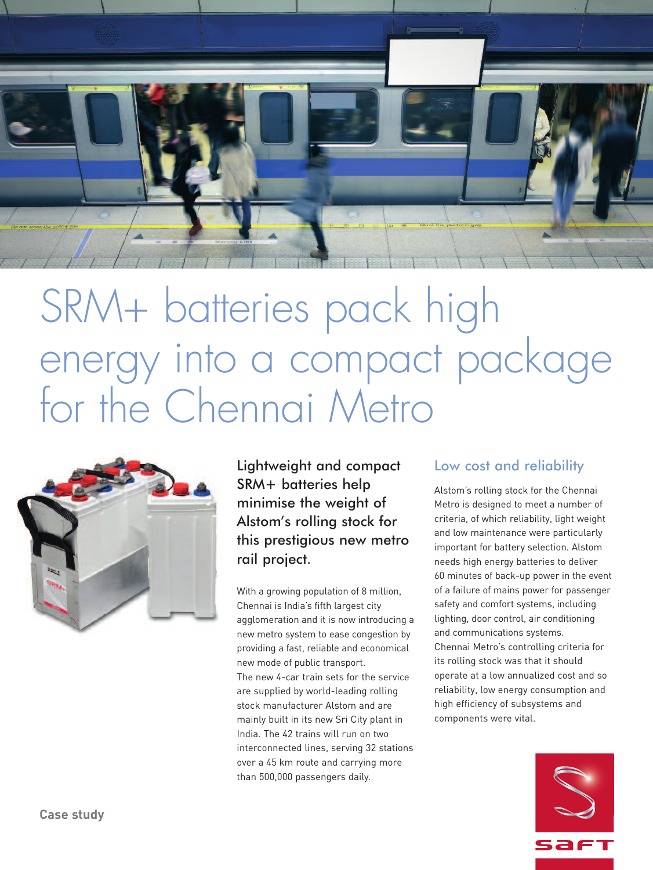

# SRM+ batteries pack high energy into a compact package for the Chennai Metro



Lightweight and compact SRM+ batteries help minimise the weight of Alstom's rolling stock for this prestigious new metro rail project.

With a growing population of 8 million, Chennai is India's fifth largest city agglomeration and it is now introducing a new metro system to ease congestion by providing a fast, reliable and economical new mode of public transport. The new 4-car train sets for the service are supplied by world-leading rolling stock manufacturer Alstom and are mainly built in its new Sri City plant in India. The 42 trains will run on two interconnected lines, serving 32 stations over a 45 km route and carrying more than 500,000 passengers daily.

## Low cost and reliability

Alstom's rolling stock for the Chennai Metro is designed to meet a number of criteria, of which reliability, light weight and low maintenance were particularly important for battery selection. Alstom needs high energy batteries to deliver 60 minutes of back-up power in the event of a failure of mains power for passenger safety and comfort systems, including lighting, door control, air conditioning and communications systems. Chennai Metro's controlling criteria for its rolling stock was that it should operate at a low annualized cost and so reliability, low energy consumption and high efficiency of subsystems and components were vital.